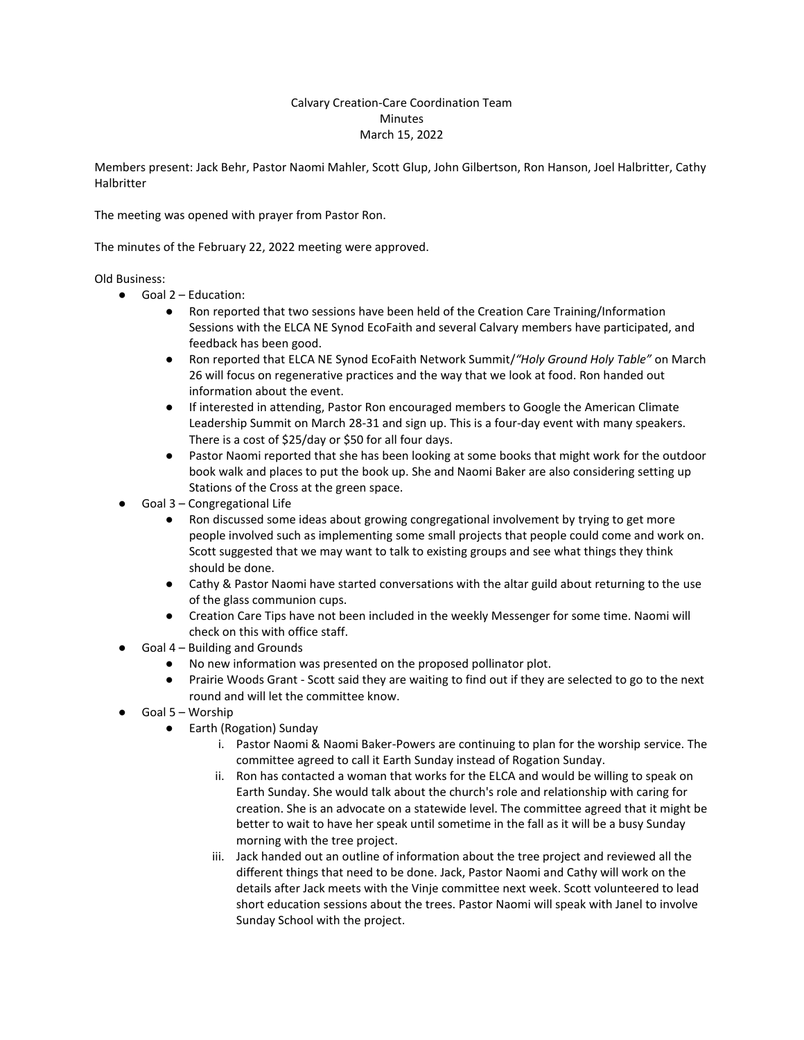## Calvary Creation-Care Coordination Team **Minutes** March 15, 2022

Members present: Jack Behr, Pastor Naomi Mahler, Scott Glup, John Gilbertson, Ron Hanson, Joel Halbritter, Cathy Halbritter

The meeting was opened with prayer from Pastor Ron.

The minutes of the February 22, 2022 meeting were approved.

## Old Business:

- Goal 2 Education:
	- Ron reported that two sessions have been held of the Creation Care Training/Information Sessions with the ELCA NE Synod EcoFaith and several Calvary members have participated, and feedback has been good.
	- Ron reported that ELCA NE Synod EcoFaith Network Summit/*"Holy Ground Holy Table"* on March 26 will focus on regenerative practices and the way that we look at food. Ron handed out information about the event.
	- If interested in attending, Pastor Ron encouraged members to Google the American Climate Leadership Summit on March 28-31 and sign up. This is a four-day event with many speakers. There is a cost of \$25/day or \$50 for all four days.
	- Pastor Naomi reported that she has been looking at some books that might work for the outdoor book walk and places to put the book up. She and Naomi Baker are also considering setting up Stations of the Cross at the green space.
- Goal 3 Congregational Life
	- Ron discussed some ideas about growing congregational involvement by trying to get more people involved such as implementing some small projects that people could come and work on. Scott suggested that we may want to talk to existing groups and see what things they think should be done.
	- Cathy & Pastor Naomi have started conversations with the altar guild about returning to the use of the glass communion cups.
	- Creation Care Tips have not been included in the weekly Messenger for some time. Naomi will check on this with office staff.
- Goal 4 Building and Grounds
	- No new information was presented on the proposed pollinator plot.
	- Prairie Woods Grant Scott said they are waiting to find out if they are selected to go to the next round and will let the committee know.
- Goal 5 Worship
	- Earth (Rogation) Sunday
		- i. Pastor Naomi & Naomi Baker-Powers are continuing to plan for the worship service. The committee agreed to call it Earth Sunday instead of Rogation Sunday.
		- ii. Ron has contacted a woman that works for the ELCA and would be willing to speak on Earth Sunday. She would talk about the church's role and relationship with caring for creation. She is an advocate on a statewide level. The committee agreed that it might be better to wait to have her speak until sometime in the fall as it will be a busy Sunday morning with the tree project.
		- iii. Jack handed out an outline of information about the tree project and reviewed all the different things that need to be done. Jack, Pastor Naomi and Cathy will work on the details after Jack meets with the Vinje committee next week. Scott volunteered to lead short education sessions about the trees. Pastor Naomi will speak with Janel to involve Sunday School with the project.